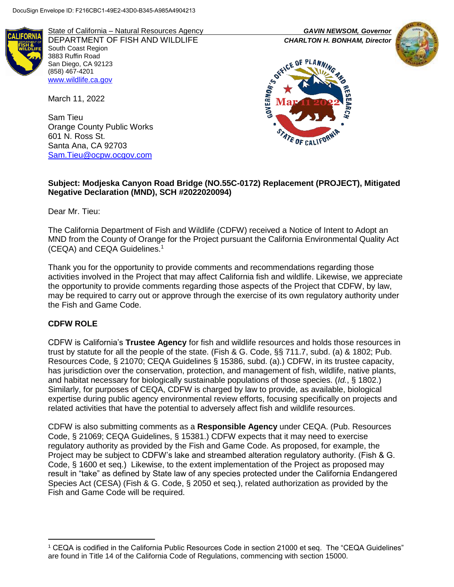

State of California – Natural Resources Agency *GAVIN NEWSOM, Governor* DEPARTMENT OF FISH AND WILDLIFE *CHARLTON H. BONHAM, Director*  South Coast Region 3883 Ruffin Road San Diego, CA 92123 (858) 467-4201 [www.wildlife.ca.gov](http://www.wildlife.ca.gov/)

March 11, 2022

Sam Tieu Orange County Public Works 601 N. Ross St. Santa Ana, CA 92703 [Sam.Tieu@ocpw.ocgov.com](mailto:Sam.Tieu@ocpw.ocgov.com)





#### **Subject: Modjeska Canyon Road Bridge (NO.55C-0172) Replacement (PROJECT), Mitigated Negative Declaration (MND), SCH #2022020094)**

Dear Mr. Tieu:

The California Department of Fish and Wildlife (CDFW) received a Notice of Intent to Adopt an MND from the County of Orange for the Project pursuant the California Environmental Quality Act (CEQA) and CEQA Guidelines.<sup>1</sup>

Thank you for the opportunity to provide comments and recommendations regarding those activities involved in the Project that may affect California fish and wildlife. Likewise, we appreciate the opportunity to provide comments regarding those aspects of the Project that CDFW, by law, may be required to carry out or approve through the exercise of its own regulatory authority under the Fish and Game Code.

#### **CDFW ROLE**

l

CDFW is California's **Trustee Agency** for fish and wildlife resources and holds those resources in trust by statute for all the people of the state. (Fish & G. Code, §§ 711.7, subd. (a) & 1802; Pub. Resources Code, § 21070; CEQA Guidelines § 15386, subd. (a).) CDFW, in its trustee capacity, has jurisdiction over the conservation, protection, and management of fish, wildlife, native plants, and habitat necessary for biologically sustainable populations of those species. (*Id.*, § 1802.) Similarly, for purposes of CEQA, CDFW is charged by law to provide, as available, biological expertise during public agency environmental review efforts, focusing specifically on projects and related activities that have the potential to adversely affect fish and wildlife resources.

CDFW is also submitting comments as a **Responsible Agency** under CEQA. (Pub. Resources Code, § 21069; CEQA Guidelines, § 15381.) CDFW expects that it may need to exercise regulatory authority as provided by the Fish and Game Code. As proposed, for example, the Project may be subject to CDFW's lake and streambed alteration regulatory authority. (Fish & G. Code, § 1600 et seq.) Likewise, to the extent implementation of the Project as proposed may result in "take" as defined by State law of any species protected under the California Endangered Species Act (CESA) (Fish & G. Code, § 2050 et seq.), related authorization as provided by the Fish and Game Code will be required.

<sup>1</sup> CEQA is codified in the California Public Resources Code in section 21000 et seq. The "CEQA Guidelines" are found in Title 14 of the California Code of Regulations, commencing with section 15000.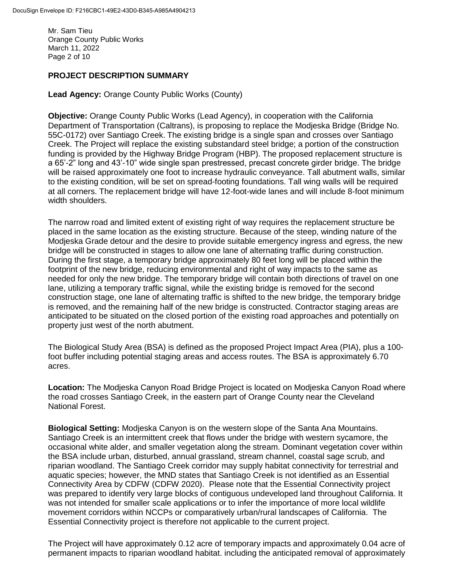Mr. Sam Tieu Orange County Public Works March 11, 2022 Page 2 of 10

# **PROJECT DESCRIPTION SUMMARY**

**Lead Agency:** Orange County Public Works (County)

**Objective:** Orange County Public Works (Lead Agency), in cooperation with the California Department of Transportation (Caltrans), is proposing to replace the Modjeska Bridge (Bridge No. 55C-0172) over Santiago Creek. The existing bridge is a single span and crosses over Santiago Creek. The Project will replace the existing substandard steel bridge; a portion of the construction funding is provided by the Highway Bridge Program (HBP). The proposed replacement structure is a 65'-2" long and 43'-10" wide single span prestressed, precast concrete girder bridge. The bridge will be raised approximately one foot to increase hydraulic conveyance. Tall abutment walls, similar to the existing condition, will be set on spread-footing foundations. Tall wing walls will be required at all corners. The replacement bridge will have 12-foot-wide lanes and will include 8-foot minimum width shoulders.

The narrow road and limited extent of existing right of way requires the replacement structure be placed in the same location as the existing structure. Because of the steep, winding nature of the Modjeska Grade detour and the desire to provide suitable emergency ingress and egress, the new bridge will be constructed in stages to allow one lane of alternating traffic during construction. During the first stage, a temporary bridge approximately 80 feet long will be placed within the footprint of the new bridge, reducing environmental and right of way impacts to the same as needed for only the new bridge. The temporary bridge will contain both directions of travel on one lane, utilizing a temporary traffic signal, while the existing bridge is removed for the second construction stage, one lane of alternating traffic is shifted to the new bridge, the temporary bridge is removed, and the remaining half of the new bridge is constructed. Contractor staging areas are anticipated to be situated on the closed portion of the existing road approaches and potentially on property just west of the north abutment.

The Biological Study Area (BSA) is defined as the proposed Project Impact Area (PIA), plus a 100 foot buffer including potential staging areas and access routes. The BSA is approximately 6.70 acres.

**Location:** The Modjeska Canyon Road Bridge Project is located on Modjeska Canyon Road where the road crosses Santiago Creek, in the eastern part of Orange County near the Cleveland National Forest.

**Biological Setting:** Modjeska Canyon is on the western slope of the Santa Ana Mountains. Santiago Creek is an intermittent creek that flows under the bridge with western sycamore, the occasional white alder, and smaller vegetation along the stream. Dominant vegetation cover within the BSA include urban, disturbed, annual grassland, stream channel, coastal sage scrub, and riparian woodland. The Santiago Creek corridor may supply habitat connectivity for terrestrial and aquatic species; however, the MND states that Santiago Creek is not identified as an Essential Connectivity Area by CDFW (CDFW 2020). Please note that the Essential Connectivity project was prepared to identify very large blocks of contiguous undeveloped land throughout California. It was not intended for smaller scale applications or to infer the importance of more local wildlife movement corridors within NCCPs or comparatively urban/rural landscapes of California. The Essential Connectivity project is therefore not applicable to the current project.

The Project will have approximately 0.12 acre of temporary impacts and approximately 0.04 acre of permanent impacts to riparian woodland habitat. including the anticipated removal of approximately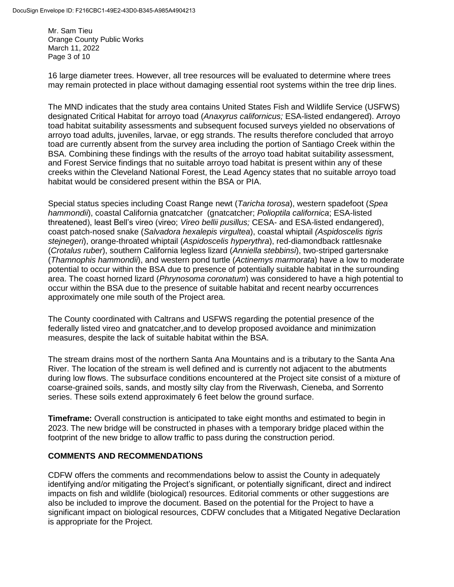Mr. Sam Tieu Orange County Public Works March 11, 2022 Page 3 of 10

16 large diameter trees. However, all tree resources will be evaluated to determine where trees may remain protected in place without damaging essential root systems within the tree drip lines.

The MND indicates that the study area contains United States Fish and Wildlife Service (USFWS) designated Critical Habitat for arroyo toad (*Anaxyrus californicus;* ESA-listed endangered). Arroyo toad habitat suitability assessments and subsequent focused surveys yielded no observations of arroyo toad adults, juveniles, larvae, or egg strands. The results therefore concluded that arroyo toad are currently absent from the survey area including the portion of Santiago Creek within the BSA. Combining these findings with the results of the arroyo toad habitat suitability assessment, and Forest Service findings that no suitable arroyo toad habitat is present within any of these creeks within the Cleveland National Forest, the Lead Agency states that no suitable arroyo toad habitat would be considered present within the BSA or PIA.

Special status species including Coast Range newt (*Taricha torosa*), western spadefoot (*Spea hammondii*), coastal California gnatcatcher (gnatcatcher; *Polioptila californica*; ESA-listed threatened), least Bell's vireo (vireo; *Vireo bellii pusillus;* CESA- and ESA-listed endangered), coast patch-nosed snake (*Salvadora hexalepis virgultea*), coastal whiptail *(Aspidoscelis tigris stejnegeri*), orange-throated whiptail (*Aspidoscelis hyperythra*), red-diamondback rattlesnake (*Crotalus ruber*), southern California legless lizard (*Anniella stebbinsi*), two-striped gartersnake (*Thamnophis hammondii*), and western pond turtle (*Actinemys marmorata*) have a low to moderate potential to occur within the BSA due to presence of potentially suitable habitat in the surrounding area. The coast horned lizard (*Phrynosoma coronatum*) was considered to have a high potential to occur within the BSA due to the presence of suitable habitat and recent nearby occurrences approximately one mile south of the Project area.

The County coordinated with Caltrans and USFWS regarding the potential presence of the federally listed vireo and gnatcatcher,and to develop proposed avoidance and minimization measures, despite the lack of suitable habitat within the BSA.

The stream drains most of the northern Santa Ana Mountains and is a tributary to the Santa Ana River. The location of the stream is well defined and is currently not adjacent to the abutments during low flows. The subsurface conditions encountered at the Project site consist of a mixture of coarse-grained soils, sands, and mostly silty clay from the Riverwash, Cieneba, and Sorrento series. These soils extend approximately 6 feet below the ground surface.

**Timeframe:** Overall construction is anticipated to take eight months and estimated to begin in 2023. The new bridge will be constructed in phases with a temporary bridge placed within the footprint of the new bridge to allow traffic to pass during the construction period.

#### **COMMENTS AND RECOMMENDATIONS**

CDFW offers the comments and recommendations below to assist the County in adequately identifying and/or mitigating the Project's significant, or potentially significant, direct and indirect impacts on fish and wildlife (biological) resources. Editorial comments or other suggestions are also be included to improve the document. Based on the potential for the Project to have a significant impact on biological resources, CDFW concludes that a Mitigated Negative Declaration is appropriate for the Project.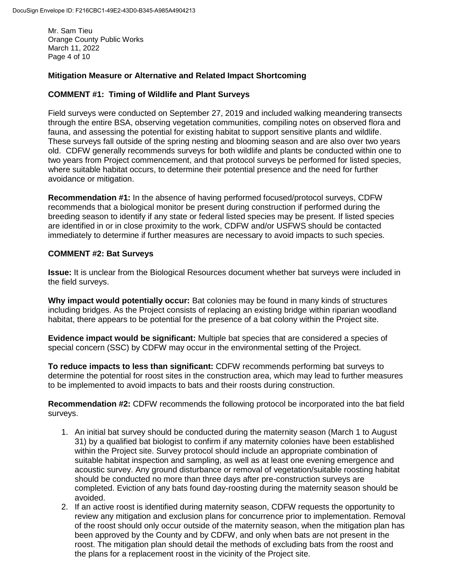Mr. Sam Tieu Orange County Public Works March 11, 2022 Page 4 of 10

## **Mitigation Measure or Alternative and Related Impact Shortcoming**

#### **COMMENT #1: Timing of Wildlife and Plant Surveys**

Field surveys were conducted on September 27, 2019 and included walking meandering transects through the entire BSA, observing vegetation communities, compiling notes on observed flora and fauna, and assessing the potential for existing habitat to support sensitive plants and wildlife. These surveys fall outside of the spring nesting and blooming season and are also over two years old. CDFW generally recommends surveys for both wildlife and plants be conducted within one to two years from Project commencement, and that protocol surveys be performed for listed species, where suitable habitat occurs, to determine their potential presence and the need for further avoidance or mitigation.

**Recommendation #1:** In the absence of having performed focused/protocol surveys, CDFW recommends that a biological monitor be present during construction if performed during the breeding season to identify if any state or federal listed species may be present. If listed species are identified in or in close proximity to the work, CDFW and/or USFWS should be contacted immediately to determine if further measures are necessary to avoid impacts to such species.

#### **COMMENT #2: Bat Surveys**

**Issue:** It is unclear from the Biological Resources document whether bat surveys were included in the field surveys.

**Why impact would potentially occur:** Bat colonies may be found in many kinds of structures including bridges. As the Project consists of replacing an existing bridge within riparian woodland habitat, there appears to be potential for the presence of a bat colony within the Project site.

**Evidence impact would be significant:** Multiple bat species that are considered a species of special concern (SSC) by CDFW may occur in the environmental setting of the Project.

**To reduce impacts to less than significant:** CDFW recommends performing bat surveys to determine the potential for roost sites in the construction area, which may lead to further measures to be implemented to avoid impacts to bats and their roosts during construction.

**Recommendation #2:** CDFW recommends the following protocol be incorporated into the bat field surveys.

- 1. An initial bat survey should be conducted during the maternity season (March 1 to August 31) by a qualified bat biologist to confirm if any maternity colonies have been established within the Project site. Survey protocol should include an appropriate combination of suitable habitat inspection and sampling, as well as at least one evening emergence and acoustic survey. Any ground disturbance or removal of vegetation/suitable roosting habitat should be conducted no more than three days after pre-construction surveys are completed. Eviction of any bats found day-roosting during the maternity season should be avoided.
- 2. If an active roost is identified during maternity season, CDFW requests the opportunity to review any mitigation and exclusion plans for concurrence prior to implementation. Removal of the roost should only occur outside of the maternity season, when the mitigation plan has been approved by the County and by CDFW, and only when bats are not present in the roost. The mitigation plan should detail the methods of excluding bats from the roost and the plans for a replacement roost in the vicinity of the Project site.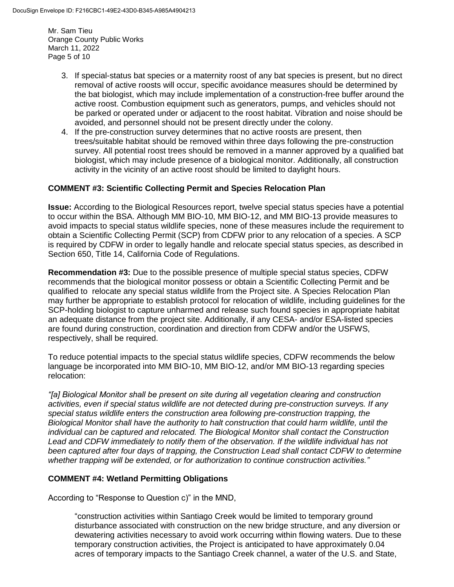Mr. Sam Tieu Orange County Public Works March 11, 2022 Page 5 of 10

- 3. If special-status bat species or a maternity roost of any bat species is present, but no direct removal of active roosts will occur, specific avoidance measures should be determined by the bat biologist, which may include implementation of a construction-free buffer around the active roost. Combustion equipment such as generators, pumps, and vehicles should not be parked or operated under or adjacent to the roost habitat. Vibration and noise should be avoided, and personnel should not be present directly under the colony.
- 4. If the pre-construction survey determines that no active roosts are present, then trees/suitable habitat should be removed within three days following the pre-construction survey. All potential roost trees should be removed in a manner approved by a qualified bat biologist, which may include presence of a biological monitor. Additionally, all construction activity in the vicinity of an active roost should be limited to daylight hours.

#### **COMMENT #3: Scientific Collecting Permit and Species Relocation Plan**

**Issue:** According to the Biological Resources report, twelve special status species have a potential to occur within the BSA. Although MM BIO-10, MM BIO-12, and MM BIO-13 provide measures to avoid impacts to special status wildlife species, none of these measures include the requirement to obtain a Scientific Collecting Permit (SCP) from CDFW prior to any relocation of a species. A SCP is required by CDFW in order to legally handle and relocate special status species, as described in Section 650, Title 14, California Code of Regulations.

**Recommendation #3:** Due to the possible presence of multiple special status species, CDFW recommends that the biological monitor possess or obtain a Scientific Collecting Permit and be qualified to relocate any special status wildlife from the Project site. A Species Relocation Plan may further be appropriate to establish protocol for relocation of wildlife, including guidelines for the SCP-holding biologist to capture unharmed and release such found species in appropriate habitat an adequate distance from the project site. Additionally, if any CESA- and/or ESA-listed species are found during construction, coordination and direction from CDFW and/or the USFWS, respectively, shall be required.

To reduce potential impacts to the special status wildlife species, CDFW recommends the below language be incorporated into MM BIO-10, MM BIO-12, and/or MM BIO-13 regarding species relocation:

*"[a] Biological Monitor shall be present on site during all vegetation clearing and construction activities, even if special status wildlife are not detected during pre-construction surveys. If any special status wildlife enters the construction area following pre-construction trapping, the Biological Monitor shall have the authority to halt construction that could harm wildlife, until the individual can be captured and relocated. The Biological Monitor shall contact the Construction Lead and CDFW immediately to notify them of the observation. If the wildlife individual has not*  been captured after four days of trapping, the Construction Lead shall contact CDFW to determine *whether trapping will be extended, or for authorization to continue construction activities."*

#### **COMMENT #4: Wetland Permitting Obligations**

According to "Response to Question c)" in the MND,

"construction activities within Santiago Creek would be limited to temporary ground disturbance associated with construction on the new bridge structure, and any diversion or dewatering activities necessary to avoid work occurring within flowing waters. Due to these temporary construction activities, the Project is anticipated to have approximately 0.04 acres of temporary impacts to the Santiago Creek channel, a water of the U.S. and State,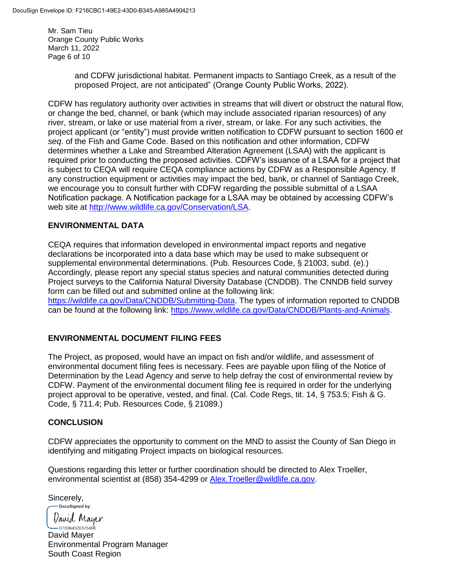Mr. Sam Tieu Orange County Public Works March 11, 2022 Page 6 of 10

> and CDFW jurisdictional habitat. Permanent impacts to Santiago Creek, as a result of the proposed Project, are not anticipated" (Orange County Public Works, 2022).

CDFW has regulatory authority over activities in streams that will divert or obstruct the natural flow, or change the bed, channel, or bank (which may include associated riparian resources) of any river, stream, or lake or use material from a river, stream, or lake. For any such activities, the project applicant (or "entity") must provide written notification to CDFW pursuant to section 1600 *et seq*. of the Fish and Game Code. Based on this notification and other information, CDFW determines whether a Lake and Streambed Alteration Agreement (LSAA) with the applicant is required prior to conducting the proposed activities. CDFW's issuance of a LSAA for a project that is subject to CEQA will require CEQA compliance actions by CDFW as a Responsible Agency. If any construction equipment or activities may impact the bed, bank, or channel of Santiago Creek, we encourage you to consult further with CDFW regarding the possible submittal of a LSAA Notification package. A Notification package for a LSAA may be obtained by accessing CDFW's web site at [http://www.wildlife.ca.gov/Conservation/LSA.](https://gcc02.safelinks.protection.outlook.com/?url=https%3A%2F%2Furldefense.com%2Fv3%2F__http%3A%2Fwww.wildlife.ca.gov%2FConservation%2FLSA__%3B!!KL1yqyOaGX2drUI!2NrzUnfFRbZFIdsNgaqSOT0shw66APwQrIPALYb0Hv4UhTdm4JldrMp5DRKDmdZdqqc%24&data=04%7C01%7CAlexandra.Troeller%40Wildlife.ca.gov%7C3c6c24c5d0cf42148cc408da0057aa33%7C4b633c25efbf40069f1507442ba7aa0b%7C0%7C0%7C637822673766092027%7CUnknown%7CTWFpbGZsb3d8eyJWIjoiMC4wLjAwMDAiLCJQIjoiV2luMzIiLCJBTiI6Ik1haWwiLCJXVCI6Mn0%3D%7C3000&sdata=AMF%2BNZ0GdMd1y8VbxGNN1nCYmFRZXOsu4Q8jt%2FEkpxI%3D&reserved=0)

## **ENVIRONMENTAL DATA**

CEQA requires that information developed in environmental impact reports and negative declarations be incorporated into a data base which may be used to make subsequent or supplemental environmental determinations. (Pub. Resources Code, § 21003, subd. (e).) Accordingly, please report any special status species and natural communities detected during Project surveys to the California Natural Diversity Database (CNDDB). The CNNDB field survey form can be filled out and submitted online at the following link:

[https://wildlife.ca.gov/Data/CNDDB/Submitting-Data.](https://wildlife.ca.gov/Data/CNDDB/Submitting-Data) The types of information reported to CNDDB can be found at the following link: [https://www.wildlife.ca.gov/Data/CNDDB/Plants-and-Animals.](https://www.wildlife.ca.gov/Data/CNDDB/Plants-and-Animals)

# **ENVIRONMENTAL DOCUMENT FILING FEES**

The Project, as proposed, would have an impact on fish and/or wildlife, and assessment of environmental document filing fees is necessary. Fees are payable upon filing of the Notice of Determination by the Lead Agency and serve to help defray the cost of environmental review by CDFW. Payment of the environmental document filing fee is required in order for the underlying project approval to be operative, vested, and final. (Cal. Code Regs, tit. 14, § 753.5; Fish & G. Code, § 711.4; Pub. Resources Code, § 21089.)

#### **CONCLUSION**

CDFW appreciates the opportunity to comment on the MND to assist the County of San Diego in identifying and mitigating Project impacts on biological resources.

Questions regarding this letter or further coordination should be directed to Alex Troeller, environmental scientist at (858) 354-4299 or [Alex.Troeller@wildlife.ca.gov.](mailto:Alex.Troeller@wildlife.ca.gov)

Sincerely,<br> **Docusigned** by:

David Mayer

 $-$ D700B4520375406... David Mayer Environmental Program Manager South Coast Region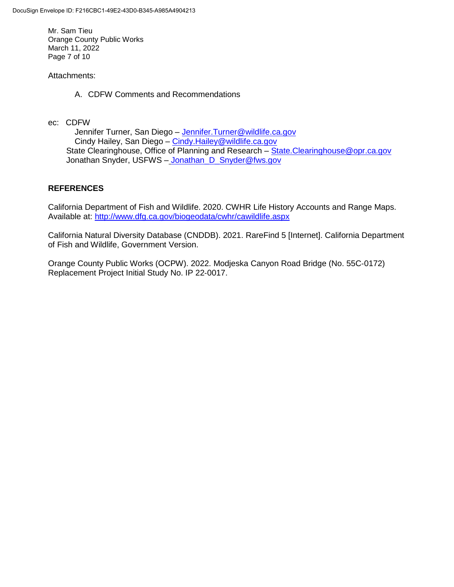Mr. Sam Tieu Orange County Public Works March 11, 2022 Page 7 of 10

#### Attachments:

A. CDFW Comments and Recommendations

ec: CDFW

Jennifer Turner, San Diego - [Jennifer.Turner@wildlife.ca.gov](mailto:Jennifer.Turner@wildlife.ca.gov) Cindy Hailey, San Diego – [Cindy.Hailey@wildlife.ca.gov](mailto:Cindy.Hailey@wildlife.ca.gov) State Clearinghouse, Office of Planning and Research – [State.Clearinghouse@opr.ca.gov](mailto:State.Clearinghouse@opr.ca.gov) Jonathan Snyder, USFWS - Jonathan\_D\_Snyder@fws.gov

## **REFERENCES**

California Department of Fish and Wildlife. 2020. CWHR Life History Accounts and Range Maps. Available at:<http://www.dfg.ca.gov/biogeodata/cwhr/cawildlife.aspx>

California Natural Diversity Database (CNDDB). 2021. RareFind 5 [Internet]. California Department of Fish and Wildlife, Government Version.

Orange County Public Works (OCPW). 2022. Modjeska Canyon Road Bridge (No. 55C‐0172) Replacement Project Initial Study No. IP 22‐0017.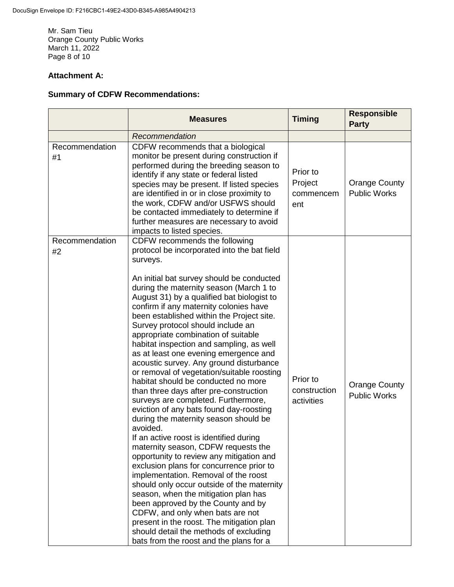Mr. Sam Tieu Orange County Public Works March 11, 2022 Page 8 of 10

# **Attachment A:**

# **Summary of CDFW Recommendations:**

|                      | <b>Measures</b>                                                                                                                                                                                                                                                                                                                                                                                                                                                                                                                                                                                                                                                                                                                                                                                                                                                                                                                                                                                                                                                                                                                                                                                                                                                                                                             | <b>Timing</b>                           | <b>Responsible</b><br><b>Party</b>          |
|----------------------|-----------------------------------------------------------------------------------------------------------------------------------------------------------------------------------------------------------------------------------------------------------------------------------------------------------------------------------------------------------------------------------------------------------------------------------------------------------------------------------------------------------------------------------------------------------------------------------------------------------------------------------------------------------------------------------------------------------------------------------------------------------------------------------------------------------------------------------------------------------------------------------------------------------------------------------------------------------------------------------------------------------------------------------------------------------------------------------------------------------------------------------------------------------------------------------------------------------------------------------------------------------------------------------------------------------------------------|-----------------------------------------|---------------------------------------------|
|                      | Recommendation                                                                                                                                                                                                                                                                                                                                                                                                                                                                                                                                                                                                                                                                                                                                                                                                                                                                                                                                                                                                                                                                                                                                                                                                                                                                                                              |                                         |                                             |
| Recommendation<br>#1 | CDFW recommends that a biological<br>monitor be present during construction if<br>performed during the breeding season to<br>identify if any state or federal listed<br>species may be present. If listed species<br>are identified in or in close proximity to<br>the work, CDFW and/or USFWS should<br>be contacted immediately to determine if<br>further measures are necessary to avoid<br>impacts to listed species.                                                                                                                                                                                                                                                                                                                                                                                                                                                                                                                                                                                                                                                                                                                                                                                                                                                                                                  | Prior to<br>Project<br>commencem<br>ent | <b>Orange County</b><br><b>Public Works</b> |
| Recommendation<br>#2 | CDFW recommends the following<br>protocol be incorporated into the bat field<br>surveys.<br>An initial bat survey should be conducted<br>during the maternity season (March 1 to<br>August 31) by a qualified bat biologist to<br>confirm if any maternity colonies have<br>been established within the Project site.<br>Survey protocol should include an<br>appropriate combination of suitable<br>habitat inspection and sampling, as well<br>as at least one evening emergence and<br>acoustic survey. Any ground disturbance<br>or removal of vegetation/suitable roosting<br>habitat should be conducted no more<br>than three days after pre-construction<br>surveys are completed. Furthermore,<br>eviction of any bats found day-roosting<br>during the maternity season should be<br>avoided.<br>If an active roost is identified during<br>maternity season, CDFW requests the<br>opportunity to review any mitigation and<br>exclusion plans for concurrence prior to<br>implementation. Removal of the roost<br>should only occur outside of the maternity<br>season, when the mitigation plan has<br>been approved by the County and by<br>CDFW, and only when bats are not<br>present in the roost. The mitigation plan<br>should detail the methods of excluding<br>bats from the roost and the plans for a | Prior to<br>construction<br>activities  | <b>Orange County</b><br><b>Public Works</b> |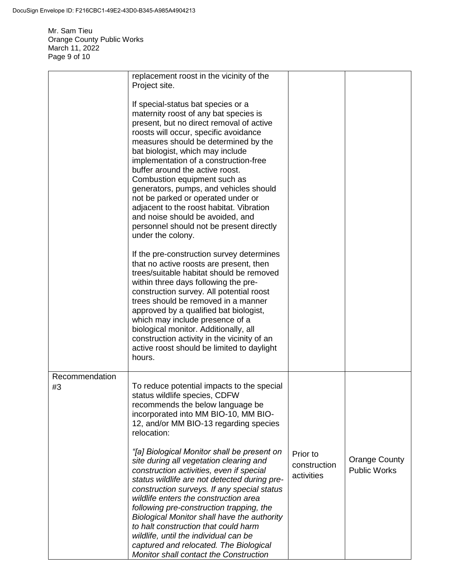Mr. Sam Tieu Orange County Public Works March 11, 2022 Page 9 of 10

|                      | replacement roost in the vicinity of the<br>Project site.                                                                                                                                                                                                                                                                                                                                                                                                                                                                                                                                 |                                        |                                             |
|----------------------|-------------------------------------------------------------------------------------------------------------------------------------------------------------------------------------------------------------------------------------------------------------------------------------------------------------------------------------------------------------------------------------------------------------------------------------------------------------------------------------------------------------------------------------------------------------------------------------------|----------------------------------------|---------------------------------------------|
|                      | If special-status bat species or a<br>maternity roost of any bat species is<br>present, but no direct removal of active<br>roosts will occur, specific avoidance<br>measures should be determined by the<br>bat biologist, which may include<br>implementation of a construction-free<br>buffer around the active roost.<br>Combustion equipment such as<br>generators, pumps, and vehicles should<br>not be parked or operated under or<br>adjacent to the roost habitat. Vibration<br>and noise should be avoided, and<br>personnel should not be present directly<br>under the colony. |                                        |                                             |
|                      | If the pre-construction survey determines<br>that no active roosts are present, then<br>trees/suitable habitat should be removed<br>within three days following the pre-<br>construction survey. All potential roost<br>trees should be removed in a manner<br>approved by a qualified bat biologist,<br>which may include presence of a<br>biological monitor. Additionally, all<br>construction activity in the vicinity of an<br>active roost should be limited to daylight<br>hours.                                                                                                  |                                        |                                             |
| Recommendation<br>#3 | To reduce potential impacts to the special<br>status wildlife species, CDFW<br>recommends the below language be<br>incorporated into MM BIO-10, MM BIO-<br>12, and/or MM BIO-13 regarding species<br>relocation:                                                                                                                                                                                                                                                                                                                                                                          |                                        |                                             |
|                      | "[a] Biological Monitor shall be present on<br>site during all vegetation clearing and<br>construction activities, even if special<br>status wildlife are not detected during pre-<br>construction surveys. If any special status<br>wildlife enters the construction area<br>following pre-construction trapping, the<br>Biological Monitor shall have the authority<br>to halt construction that could harm<br>wildlife, until the individual can be<br>captured and relocated. The Biological<br><b>Monitor shall contact the Construction</b>                                         | Prior to<br>construction<br>activities | <b>Orange County</b><br><b>Public Works</b> |